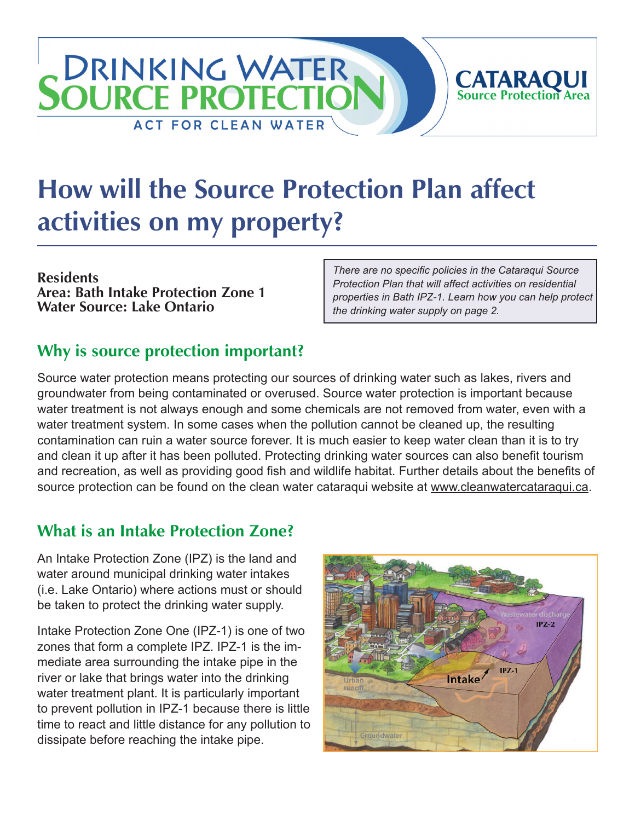# **How will the Source Protection Plan affect activities on my property?**

**Residents Area: Bath Intake Protection Zone 1 Water Source: Lake Ontario**

*There are no specific policies in the Cataraqui Source Protection Plan that will affect activities on residential properties in Bath IPZ-1. Learn how you can help protect the drinking water supply on page 2.*

**CATARAQUI**<br>Source Protection Area

## **Why is source protection important?**

**DRINKING WATER** 

**ACT FOR CLEAN WATER** 

**SOURCE PROTECTIO** 

Source water protection means protecting our sources of drinking water such as lakes, rivers and groundwater from being contaminated or overused. Source water protection is important because water treatment is not always enough and some chemicals are not removed from water, even with a water treatment system. In some cases when the pollution cannot be cleaned up, the resulting contamination can ruin a water source forever. It is much easier to keep water clean than it is to try and clean it up after it has been polluted. Protecting drinking water sources can also benefit tourism and recreation, as well as providing good fish and wildlife habitat. Further details about the benefits of source protection can be found on the clean water cataraqui website at [www.cleanwatercataraqui.ca.](http://www.cleanwatercataraqui.ca/)

# **What is an Intake Protection Zone?**

An Intake Protection Zone (IPZ) is the land and water around municipal drinking water intakes (i.e. Lake Ontario) where actions must or should be taken to protect the drinking water supply.

Intake Protection Zone One (IPZ-1) is one of two zones that form a complete IPZ. IPZ-1 is the immediate area surrounding the intake pipe in the river or lake that brings water into the drinking water treatment plant. It is particularly important to prevent pollution in IPZ-1 because there is little time to react and little distance for any pollution to dissipate before reaching the intake pipe.